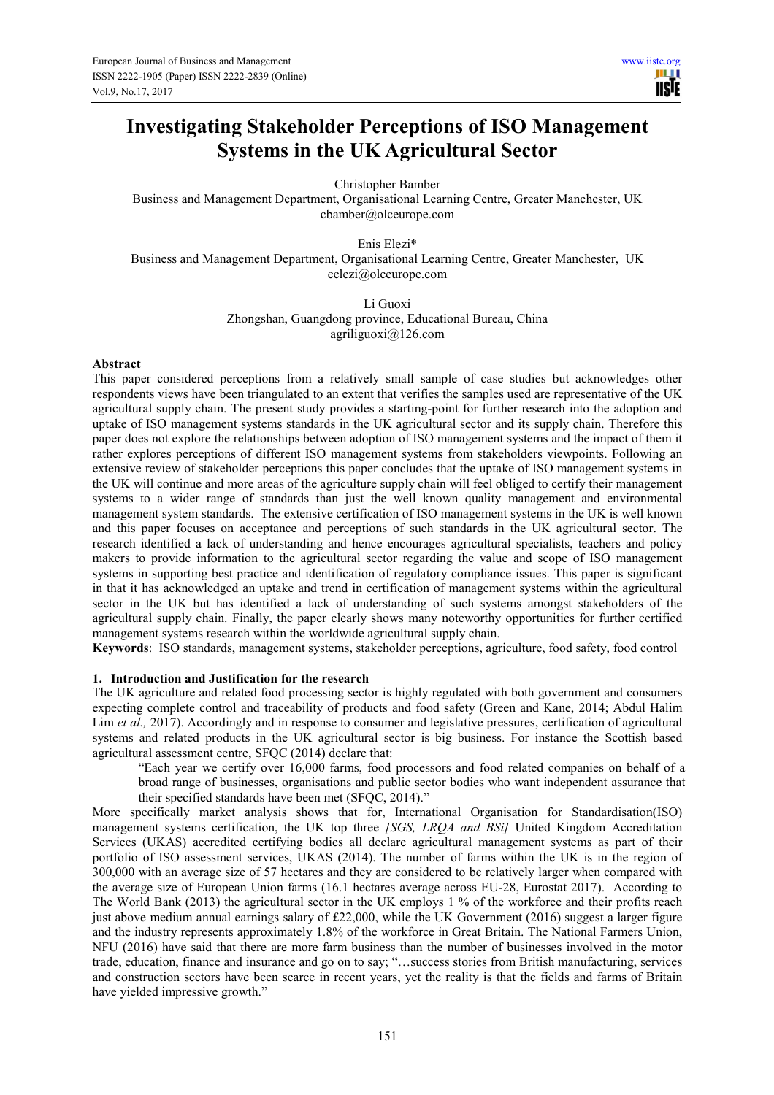# **Investigating Stakeholder Perceptions of ISO Management Systems in the UK Agricultural Sector**

Christopher Bamber

Business and Management Department, Organisational Learning Centre, Greater Manchester, UK cbamber@olceurope.com

Enis Elezi\* Business and Management Department, Organisational Learning Centre, Greater Manchester, UK eelezi@olceurope.com

> Li Guoxi Zhongshan, Guangdong province, Educational Bureau, China agriliguoxi@126.com

## **Abstract**

This paper considered perceptions from a relatively small sample of case studies but acknowledges other respondents views have been triangulated to an extent that verifies the samples used are representative of the UK agricultural supply chain. The present study provides a starting-point for further research into the adoption and uptake of ISO management systems standards in the UK agricultural sector and its supply chain. Therefore this paper does not explore the relationships between adoption of ISO management systems and the impact of them it rather explores perceptions of different ISO management systems from stakeholders viewpoints. Following an extensive review of stakeholder perceptions this paper concludes that the uptake of ISO management systems in the UK will continue and more areas of the agriculture supply chain will feel obliged to certify their management systems to a wider range of standards than just the well known quality management and environmental management system standards. The extensive certification of ISO management systems in the UK is well known and this paper focuses on acceptance and perceptions of such standards in the UK agricultural sector. The research identified a lack of understanding and hence encourages agricultural specialists, teachers and policy makers to provide information to the agricultural sector regarding the value and scope of ISO management systems in supporting best practice and identification of regulatory compliance issues. This paper is significant in that it has acknowledged an uptake and trend in certification of management systems within the agricultural sector in the UK but has identified a lack of understanding of such systems amongst stakeholders of the agricultural supply chain. Finally, the paper clearly shows many noteworthy opportunities for further certified management systems research within the worldwide agricultural supply chain.

**Keywords**: ISO standards, management systems, stakeholder perceptions, agriculture, food safety, food control

#### **1. Introduction and Justification for the research**

The UK agriculture and related food processing sector is highly regulated with both government and consumers expecting complete control and traceability of products and food safety (Green and Kane, 2014; Abdul Halim Lim *et al.*, 2017). Accordingly and in response to consumer and legislative pressures, certification of agricultural systems and related products in the UK agricultural sector is big business. For instance the Scottish based agricultural assessment centre, SFQC (2014) declare that:

"Each year we certify over 16,000 farms, food processors and food related companies on behalf of a broad range of businesses, organisations and public sector bodies who want independent assurance that their specified standards have been met (SFQC, 2014)."

More specifically market analysis shows that for, International Organisation for Standardisation(ISO) management systems certification, the UK top three *[SGS, LRQA and BSi]* United Kingdom Accreditation Services (UKAS) accredited certifying bodies all declare agricultural management systems as part of their portfolio of ISO assessment services, UKAS (2014). The number of farms within the UK is in the region of 300,000 with an average size of 57 hectares and they are considered to be relatively larger when compared with the average size of European Union farms (16.1 hectares average across EU-28, Eurostat 2017). According to The World Bank (2013) the agricultural sector in the UK employs 1 % of the workforce and their profits reach just above medium annual earnings salary of £22,000, while the UK Government (2016) suggest a larger figure and the industry represents approximately 1.8% of the workforce in Great Britain. The National Farmers Union, NFU (2016) have said that there are more farm business than the number of businesses involved in the motor trade, education, finance and insurance and go on to say; "…success stories from British manufacturing, services and construction sectors have been scarce in recent years, yet the reality is that the fields and farms of Britain have yielded impressive growth."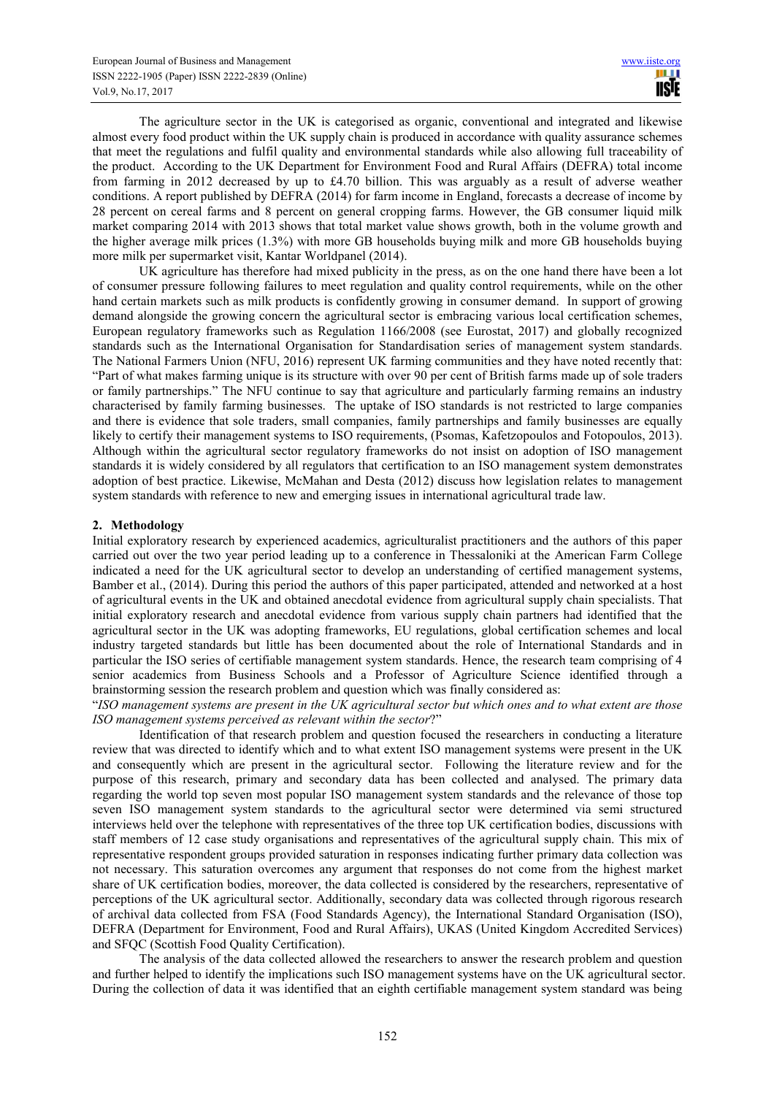The agriculture sector in the UK is categorised as organic, conventional and integrated and likewise almost every food product within the UK supply chain is produced in accordance with quality assurance schemes that meet the regulations and fulfil quality and environmental standards while also allowing full traceability of the product. According to the UK Department for Environment Food and Rural Affairs (DEFRA) total income from farming in 2012 decreased by up to £4.70 billion. This was arguably as a result of adverse weather conditions. A report published by DEFRA (2014) for farm income in England, forecasts a decrease of income by 28 percent on cereal farms and 8 percent on general cropping farms. However, the GB consumer liquid milk market comparing 2014 with 2013 shows that total market value shows growth, both in the volume growth and the higher average milk prices (1.3%) with more GB households buying milk and more GB households buying more milk per supermarket visit, Kantar Worldpanel (2014).

UK agriculture has therefore had mixed publicity in the press, as on the one hand there have been a lot of consumer pressure following failures to meet regulation and quality control requirements, while on the other hand certain markets such as milk products is confidently growing in consumer demand. In support of growing demand alongside the growing concern the agricultural sector is embracing various local certification schemes, European regulatory frameworks such as Regulation 1166/2008 (see Eurostat, 2017) and globally recognized standards such as the International Organisation for Standardisation series of management system standards. The National Farmers Union (NFU, 2016) represent UK farming communities and they have noted recently that: "Part of what makes farming unique is its structure with over 90 per cent of British farms made up of sole traders or family partnerships." The NFU continue to say that agriculture and particularly farming remains an industry characterised by family farming businesses. The uptake of ISO standards is not restricted to large companies and there is evidence that sole traders, small companies, family partnerships and family businesses are equally likely to certify their management systems to ISO requirements, (Psomas, Kafetzopoulos and Fotopoulos, 2013). Although within the agricultural sector regulatory frameworks do not insist on adoption of ISO management standards it is widely considered by all regulators that certification to an ISO management system demonstrates adoption of best practice. Likewise, McMahan and Desta (2012) discuss how legislation relates to management system standards with reference to new and emerging issues in international agricultural trade law.

# **2. Methodology**

Initial exploratory research by experienced academics, agriculturalist practitioners and the authors of this paper carried out over the two year period leading up to a conference in Thessaloniki at the American Farm College indicated a need for the UK agricultural sector to develop an understanding of certified management systems, Bamber et al., (2014). During this period the authors of this paper participated, attended and networked at a host of agricultural events in the UK and obtained anecdotal evidence from agricultural supply chain specialists. That initial exploratory research and anecdotal evidence from various supply chain partners had identified that the agricultural sector in the UK was adopting frameworks, EU regulations, global certification schemes and local industry targeted standards but little has been documented about the role of International Standards and in particular the ISO series of certifiable management system standards. Hence, the research team comprising of 4 senior academics from Business Schools and a Professor of Agriculture Science identified through a brainstorming session the research problem and question which was finally considered as:

"*ISO management systems are present in the UK agricultural sector but which ones and to what extent are those ISO management systems perceived as relevant within the sector*?"

Identification of that research problem and question focused the researchers in conducting a literature review that was directed to identify which and to what extent ISO management systems were present in the UK and consequently which are present in the agricultural sector. Following the literature review and for the purpose of this research, primary and secondary data has been collected and analysed. The primary data regarding the world top seven most popular ISO management system standards and the relevance of those top seven ISO management system standards to the agricultural sector were determined via semi structured interviews held over the telephone with representatives of the three top UK certification bodies, discussions with staff members of 12 case study organisations and representatives of the agricultural supply chain. This mix of representative respondent groups provided saturation in responses indicating further primary data collection was not necessary. This saturation overcomes any argument that responses do not come from the highest market share of UK certification bodies, moreover, the data collected is considered by the researchers, representative of perceptions of the UK agricultural sector. Additionally, secondary data was collected through rigorous research of archival data collected from FSA (Food Standards Agency), the International Standard Organisation (ISO), DEFRA (Department for Environment, Food and Rural Affairs), UKAS (United Kingdom Accredited Services) and SFQC (Scottish Food Quality Certification).

The analysis of the data collected allowed the researchers to answer the research problem and question and further helped to identify the implications such ISO management systems have on the UK agricultural sector. During the collection of data it was identified that an eighth certifiable management system standard was being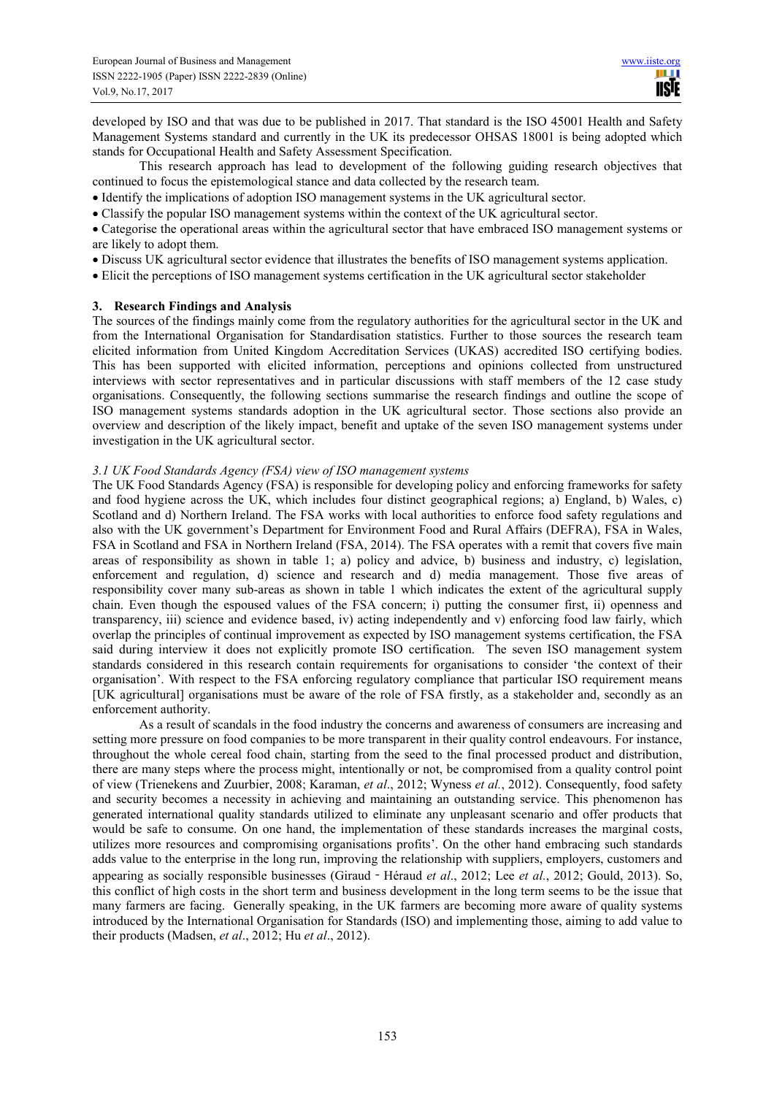developed by ISO and that was due to be published in 2017. That standard is the ISO 45001 Health and Safety Management Systems standard and currently in the UK its predecessor OHSAS 18001 is being adopted which stands for Occupational Health and Safety Assessment Specification.

This research approach has lead to development of the following guiding research objectives that continued to focus the epistemological stance and data collected by the research team.

• Identify the implications of adoption ISO management systems in the UK agricultural sector.

• Classify the popular ISO management systems within the context of the UK agricultural sector.

• Categorise the operational areas within the agricultural sector that have embraced ISO management systems or are likely to adopt them.

- Discuss UK agricultural sector evidence that illustrates the benefits of ISO management systems application.
- Elicit the perceptions of ISO management systems certification in the UK agricultural sector stakeholder

# **3. Research Findings and Analysis**

The sources of the findings mainly come from the regulatory authorities for the agricultural sector in the UK and from the International Organisation for Standardisation statistics. Further to those sources the research team elicited information from United Kingdom Accreditation Services (UKAS) accredited ISO certifying bodies. This has been supported with elicited information, perceptions and opinions collected from unstructured interviews with sector representatives and in particular discussions with staff members of the 12 case study organisations. Consequently, the following sections summarise the research findings and outline the scope of ISO management systems standards adoption in the UK agricultural sector. Those sections also provide an overview and description of the likely impact, benefit and uptake of the seven ISO management systems under investigation in the UK agricultural sector.

## *3.1 UK Food Standards Agency (FSA) view of ISO management systems*

The UK Food Standards Agency (FSA) is responsible for developing policy and enforcing frameworks for safety and food hygiene across the UK, which includes four distinct geographical regions; a) England, b) Wales, c) Scotland and d) Northern Ireland. The FSA works with local authorities to enforce food safety regulations and also with the UK government's Department for Environment Food and Rural Affairs (DEFRA), FSA in Wales, FSA in Scotland and FSA in Northern Ireland (FSA, 2014). The FSA operates with a remit that covers five main areas of responsibility as shown in table 1; a) policy and advice, b) business and industry, c) legislation, enforcement and regulation, d) science and research and d) media management. Those five areas of responsibility cover many sub-areas as shown in table 1 which indicates the extent of the agricultural supply chain. Even though the espoused values of the FSA concern; i) putting the consumer first, ii) openness and transparency, iii) science and evidence based, iv) acting independently and v) enforcing food law fairly, which overlap the principles of continual improvement as expected by ISO management systems certification, the FSA said during interview it does not explicitly promote ISO certification. The seven ISO management system standards considered in this research contain requirements for organisations to consider 'the context of their organisation'. With respect to the FSA enforcing regulatory compliance that particular ISO requirement means [UK agricultural] organisations must be aware of the role of FSA firstly, as a stakeholder and, secondly as an enforcement authority.

As a result of scandals in the food industry the concerns and awareness of consumers are increasing and setting more pressure on food companies to be more transparent in their quality control endeavours. For instance, throughout the whole cereal food chain, starting from the seed to the final processed product and distribution, there are many steps where the process might, intentionally or not, be compromised from a quality control point of view (Trienekens and Zuurbier, 2008; Karaman, *et al*., 2012; Wyness *et al.*, 2012). Consequently, food safety and security becomes a necessity in achieving and maintaining an outstanding service. This phenomenon has generated international quality standards utilized to eliminate any unpleasant scenario and offer products that would be safe to consume. On one hand, the implementation of these standards increases the marginal costs, utilizes more resources and compromising organisations profits'. On the other hand embracing such standards adds value to the enterprise in the long run, improving the relationship with suppliers, employers, customers and appearing as socially responsible businesses (Giraud‐Héraud *et al*., 2012; Lee *et al.*, 2012; Gould, 2013). So, this conflict of high costs in the short term and business development in the long term seems to be the issue that many farmers are facing. Generally speaking, in the UK farmers are becoming more aware of quality systems introduced by the International Organisation for Standards (ISO) and implementing those, aiming to add value to their products (Madsen, *et al*., 2012; Hu *et al*., 2012).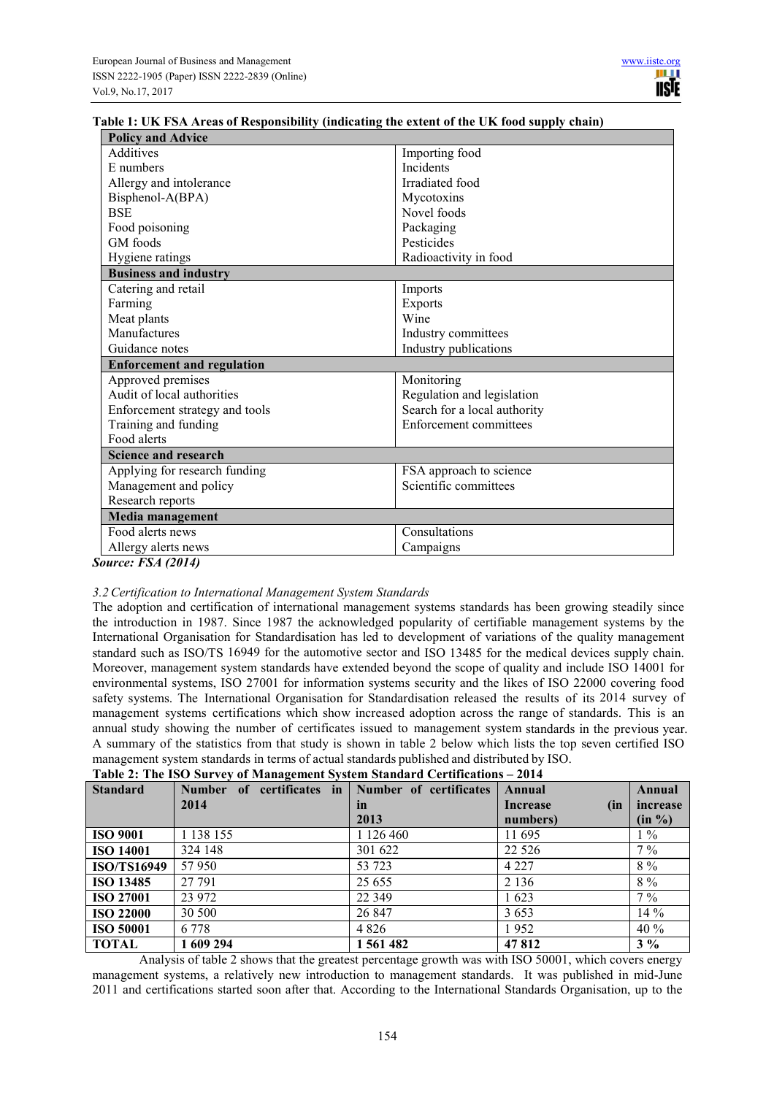| Table 1: UK FSA Areas of Responsibility (indicating the extent of the UK food supply chain) |  |  |
|---------------------------------------------------------------------------------------------|--|--|

| <b>Policy and Advice</b>          |                               |
|-----------------------------------|-------------------------------|
| Additives                         | Importing food                |
| E numbers                         | <b>Incidents</b>              |
| Allergy and intolerance           | Irradiated food               |
| Bisphenol-A(BPA)                  | Mycotoxins                    |
| <b>BSE</b>                        | Novel foods                   |
| Food poisoning                    | Packaging                     |
| GM foods                          | Pesticides                    |
| Hygiene ratings                   | Radioactivity in food         |
| <b>Business and industry</b>      |                               |
| Catering and retail               | Imports                       |
| Farming                           | <b>Exports</b>                |
| Meat plants                       | Wine                          |
| Manufactures                      | Industry committees           |
| Guidance notes                    | Industry publications         |
| <b>Enforcement and regulation</b> |                               |
| Approved premises                 | Monitoring                    |
| Audit of local authorities        | Regulation and legislation    |
| Enforcement strategy and tools    | Search for a local authority  |
| Training and funding              | <b>Enforcement committees</b> |
| Food alerts                       |                               |
| <b>Science and research</b>       |                               |
| Applying for research funding     | FSA approach to science       |
| Management and policy             | Scientific committees         |
| Research reports                  |                               |
| Media management                  |                               |
| Food alerts news                  | Consultations                 |
| Allergy alerts news               | Campaigns                     |
| $\ldots$ on Eq. (2014)            |                               |

*Source: FSA (2014)* 

## *3.2Certification to International Management System Standards*

The adoption and certification of international management systems standards has been growing steadily since the introduction in 1987. Since 1987 the acknowledged popularity of certifiable management systems by the International Organisation for Standardisation has led to development of variations of the quality management standard such as ISO/TS 16949 for the automotive sector and ISO 13485 for the medical devices supply chain. Moreover, management system standards have extended beyond the scope of quality and include ISO 14001 for environmental systems, ISO 27001 for information systems security and the likes of ISO 22000 covering food safety systems. The International Organisation for Standardisation released the results of its 2014 survey of management systems certifications which show increased adoption across the range of standards. This is an annual study showing the number of certificates issued to management system standards in the previous year. A summary of the statistics from that study is shown in table 2 below which lists the top seven certified ISO management system standards in terms of actual standards published and distributed by ISO.

| <b>Standard</b>    | Number of certificates in | Number of certificates | Annual          | Annual   |
|--------------------|---------------------------|------------------------|-----------------|----------|
|                    | 2014                      | in                     | Increase<br>(in | increase |
|                    |                           | 2013                   | numbers)        | (in %)   |
| <b>ISO 9001</b>    | 1 138 155                 | 1 126 460              | 11 695          | $1\%$    |
| <b>ISO 14001</b>   | 324 148                   | 301 622                | 22 5 26         | $7\%$    |
| <b>ISO/TS16949</b> | 57950                     | 53 723                 | 4 2 2 7         | $8\ \%$  |
| <b>ISO 13485</b>   | 27 791                    | 25 6 5 5               | 2 1 3 6         | $8\%$    |
| <b>ISO 27001</b>   | 23 972                    | 22 3 4 9               | 1623            | $7\%$    |
| <b>ISO 22000</b>   | 30 500                    | 26 847                 | 3653            | $14\%$   |
| <b>ISO 50001</b>   | 6 7 7 8                   | 4 8 2 6                | 1952            | 40 %     |
| TOTAL              | 1 609 294                 | 1 561 482              | 47812           | $3\%$    |

Analysis of table 2 shows that the greatest percentage growth was with ISO 50001, which covers energy management systems, a relatively new introduction to management standards. It was published in mid-June 2011 and certifications started soon after that. According to the International Standards Organisation, up to the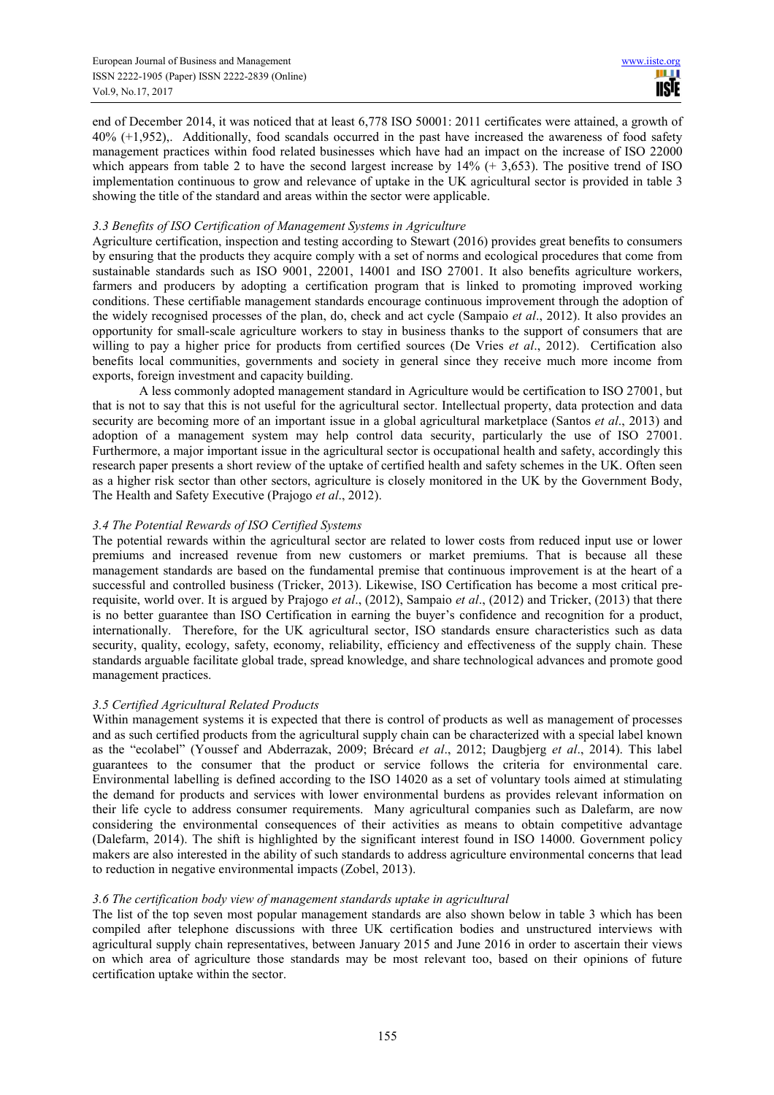Ш **IISTE** 

end of December 2014, it was noticed that at least 6,778 ISO 50001: 2011 certificates were attained, a growth of 40% (+1,952),. Additionally, food scandals occurred in the past have increased the awareness of food safety management practices within food related businesses which have had an impact on the increase of ISO 22000 which appears from table 2 to have the second largest increase by  $14\%$  (+ 3,653). The positive trend of ISO implementation continuous to grow and relevance of uptake in the UK agricultural sector is provided in table 3 showing the title of the standard and areas within the sector were applicable.

## *3.3 Benefits of ISO Certification of Management Systems in Agriculture*

Agriculture certification, inspection and testing according to Stewart (2016) provides great benefits to consumers by ensuring that the products they acquire comply with a set of norms and ecological procedures that come from sustainable standards such as ISO 9001, 22001, 14001 and ISO 27001. It also benefits agriculture workers, farmers and producers by adopting a certification program that is linked to promoting improved working conditions. These certifiable management standards encourage continuous improvement through the adoption of the widely recognised processes of the plan, do, check and act cycle (Sampaio *et al*., 2012). It also provides an opportunity for small-scale agriculture workers to stay in business thanks to the support of consumers that are willing to pay a higher price for products from certified sources (De Vries *et al*., 2012). Certification also benefits local communities, governments and society in general since they receive much more income from exports, foreign investment and capacity building.

A less commonly adopted management standard in Agriculture would be certification to ISO 27001, but that is not to say that this is not useful for the agricultural sector. Intellectual property, data protection and data security are becoming more of an important issue in a global agricultural marketplace (Santos *et al*., 2013) and adoption of a management system may help control data security, particularly the use of ISO 27001. Furthermore, a major important issue in the agricultural sector is occupational health and safety, accordingly this research paper presents a short review of the uptake of certified health and safety schemes in the UK. Often seen as a higher risk sector than other sectors, agriculture is closely monitored in the UK by the Government Body, The Health and Safety Executive (Prajogo *et al*., 2012).

# *3.4 The Potential Rewards of ISO Certified Systems*

The potential rewards within the agricultural sector are related to lower costs from reduced input use or lower premiums and increased revenue from new customers or market premiums. That is because all these management standards are based on the fundamental premise that continuous improvement is at the heart of a successful and controlled business (Tricker, 2013). Likewise, ISO Certification has become a most critical prerequisite, world over. It is argued by Prajogo *et al*., (2012), Sampaio *et al*., (2012) and Tricker, (2013) that there is no better guarantee than ISO Certification in earning the buyer's confidence and recognition for a product, internationally. Therefore, for the UK agricultural sector, ISO standards ensure characteristics such as data security, quality, ecology, safety, economy, reliability, efficiency and effectiveness of the supply chain. These standards arguable facilitate global trade, spread knowledge, and share technological advances and promote good management practices.

# *3.5 Certified Agricultural Related Products*

Within management systems it is expected that there is control of products as well as management of processes and as such certified products from the agricultural supply chain can be characterized with a special label known as the "ecolabel" (Youssef and Abderrazak, 2009; Brécard *et al*., 2012; Daugbjerg *et al*., 2014). This label guarantees to the consumer that the product or service follows the criteria for environmental care. Environmental labelling is defined according to the ISO 14020 as a set of voluntary tools aimed at stimulating the demand for products and services with lower environmental burdens as provides relevant information on their life cycle to address consumer requirements. Many agricultural companies such as Dalefarm, are now considering the environmental consequences of their activities as means to obtain competitive advantage (Dalefarm, 2014). The shift is highlighted by the significant interest found in ISO 14000. Government policy makers are also interested in the ability of such standards to address agriculture environmental concerns that lead to reduction in negative environmental impacts (Zobel, 2013).

# *3.6 The certification body view of management standards uptake in agricultural*

The list of the top seven most popular management standards are also shown below in table 3 which has been compiled after telephone discussions with three UK certification bodies and unstructured interviews with agricultural supply chain representatives, between January 2015 and June 2016 in order to ascertain their views on which area of agriculture those standards may be most relevant too, based on their opinions of future certification uptake within the sector.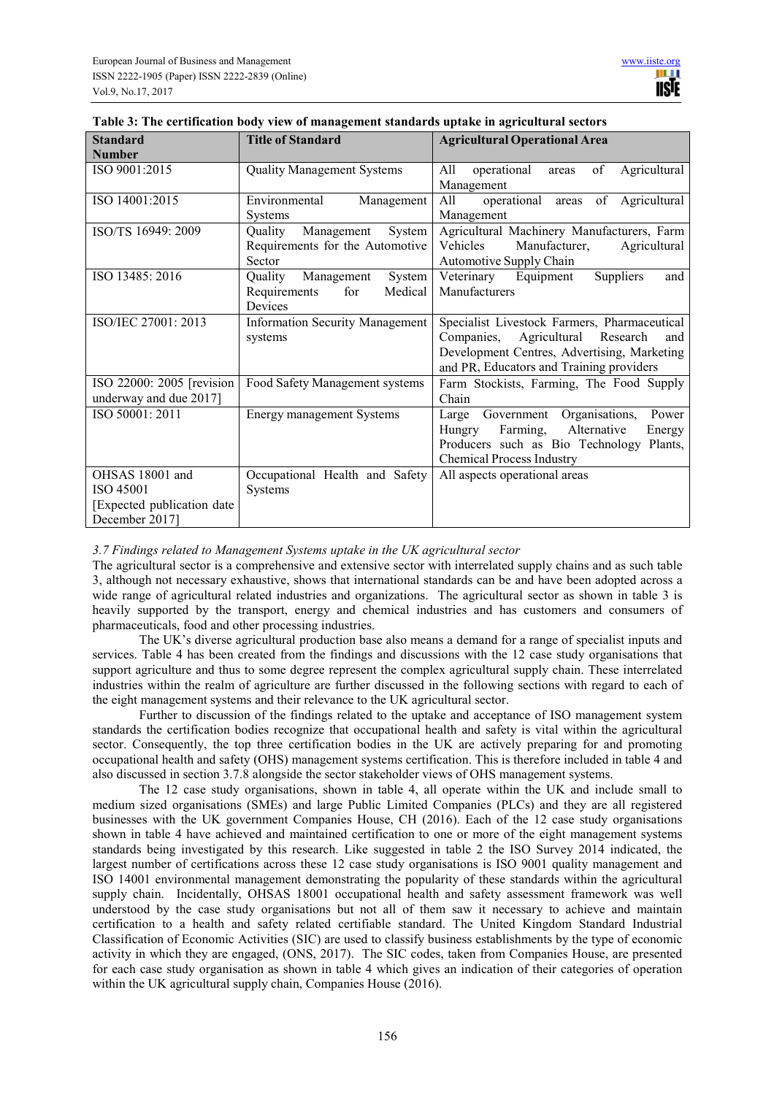| <b>Standard</b>                                                               | <b>Title of Standard</b>                                                     | <b>Agricultural Operational Area</b>                                                                                                                                                  |
|-------------------------------------------------------------------------------|------------------------------------------------------------------------------|---------------------------------------------------------------------------------------------------------------------------------------------------------------------------------------|
| <b>Number</b><br>ISO 9001:2015                                                | <b>Quality Management Systems</b>                                            | of<br>All<br>operational<br>Agricultural<br>areas<br>Management                                                                                                                       |
| ISO 14001:2015                                                                | Environmental<br>Management<br><b>Systems</b>                                | areas of Agricultural<br>All<br>operational<br>Management                                                                                                                             |
| ISO/TS 16949: 2009                                                            | System<br>Quality<br>Management<br>Requirements for the Automotive<br>Sector | Agricultural Machinery Manufacturers, Farm<br>Vehicles<br>Manufacturer,<br>Agricultural<br>Automotive Supply Chain                                                                    |
| ISO 13485: 2016                                                               | Quality<br>System<br>Management<br>Medical<br>Requirements<br>for<br>Devices | Veterinary Equipment<br>Suppliers<br>and<br>Manufacturers                                                                                                                             |
| ISO/IEC 27001: 2013                                                           | <b>Information Security Management</b><br>systems                            | Specialist Livestock Farmers, Pharmaceutical<br>Agricultural Research<br>Companies,<br>and<br>Development Centres, Advertising, Marketing<br>and PR, Educators and Training providers |
| ISO 22000: 2005 [revision<br>underway and due 2017]                           | Food Safety Management systems                                               | Farm Stockists, Farming, The Food Supply<br>Chain                                                                                                                                     |
| ISO 50001: 2011                                                               | <b>Energy management Systems</b>                                             | Large Government Organisations,<br>Power<br>Farming,<br>Alternative<br>Hungry<br>Energy<br>Producers such as Bio Technology<br>Plants,<br><b>Chemical Process Industry</b>            |
| OHSAS 18001 and<br>ISO 45001<br>[Expected publication date]<br>December 2017] | Occupational Health and Safety<br><b>Systems</b>                             | All aspects operational areas                                                                                                                                                         |

| Table 3: The certification body view of management standards uptake in agricultural sectors |  |  |
|---------------------------------------------------------------------------------------------|--|--|
|                                                                                             |  |  |

*3.7 Findings related to Management Systems uptake in the UK agricultural sector* 

The agricultural sector is a comprehensive and extensive sector with interrelated supply chains and as such table 3, although not necessary exhaustive, shows that international standards can be and have been adopted across a wide range of agricultural related industries and organizations. The agricultural sector as shown in table 3 is heavily supported by the transport, energy and chemical industries and has customers and consumers of pharmaceuticals, food and other processing industries.

The UK's diverse agricultural production base also means a demand for a range of specialist inputs and services. Table 4 has been created from the findings and discussions with the 12 case study organisations that support agriculture and thus to some degree represent the complex agricultural supply chain. These interrelated industries within the realm of agriculture are further discussed in the following sections with regard to each of the eight management systems and their relevance to the UK agricultural sector.

Further to discussion of the findings related to the uptake and acceptance of ISO management system standards the certification bodies recognize that occupational health and safety is vital within the agricultural sector. Consequently, the top three certification bodies in the UK are actively preparing for and promoting occupational health and safety (OHS) management systems certification. This is therefore included in table 4 and also discussed in section 3.7.8 alongside the sector stakeholder views of OHS management systems.

The 12 case study organisations, shown in table 4, all operate within the UK and include small to medium sized organisations (SMEs) and large Public Limited Companies (PLCs) and they are all registered businesses with the UK government Companies House, CH (2016). Each of the 12 case study organisations shown in table 4 have achieved and maintained certification to one or more of the eight management systems standards being investigated by this research. Like suggested in table 2 the ISO Survey 2014 indicated, the largest number of certifications across these 12 case study organisations is ISO 9001 quality management and ISO 14001 environmental management demonstrating the popularity of these standards within the agricultural supply chain. Incidentally, OHSAS 18001 occupational health and safety assessment framework was well understood by the case study organisations but not all of them saw it necessary to achieve and maintain certification to a health and safety related certifiable standard. The United Kingdom Standard Industrial Classification of Economic Activities (SIC) are used to classify business establishments by the type of economic activity in which they are engaged, (ONS, 2017). The SIC codes, taken from Companies House, are presented for each case study organisation as shown in table 4 which gives an indication of their categories of operation within the UK agricultural supply chain, Companies House (2016).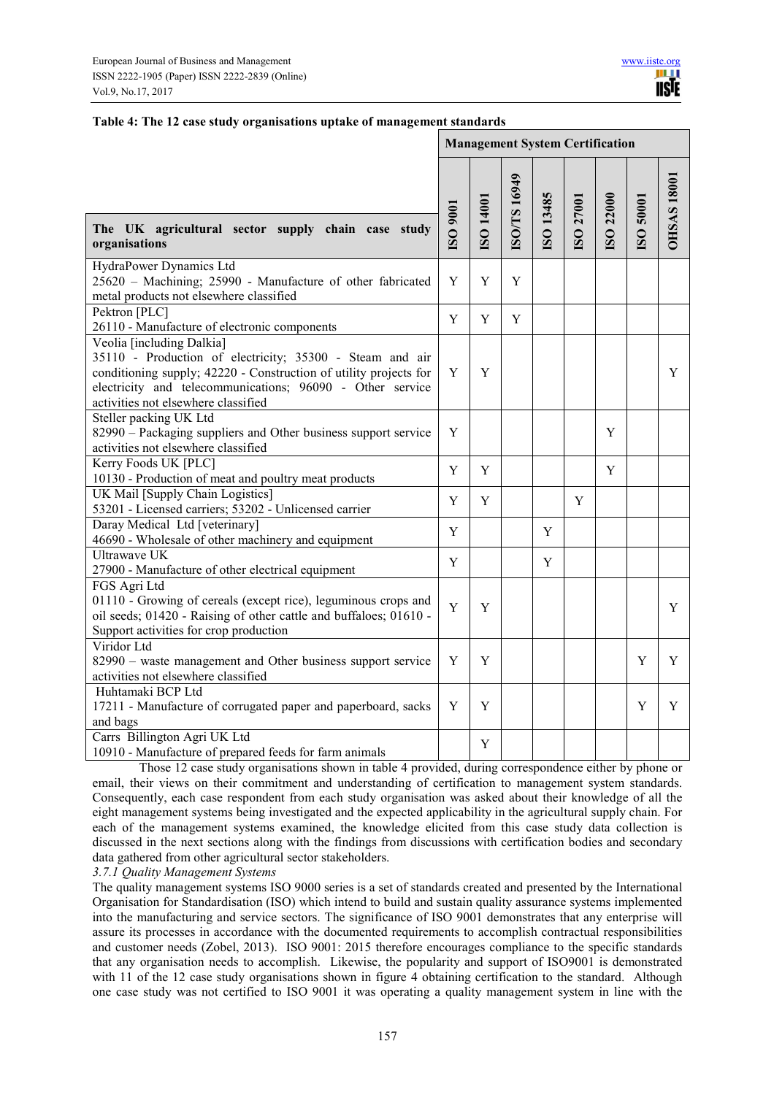|  | Table 4: The 12 case study organisations uptake of management standards |  |  |
|--|-------------------------------------------------------------------------|--|--|
|  |                                                                         |  |  |

|                                                                                                                                                                                                                                                                | <b>Management System Certification</b> |           |             |           |           |           |           |                    |
|----------------------------------------------------------------------------------------------------------------------------------------------------------------------------------------------------------------------------------------------------------------|----------------------------------------|-----------|-------------|-----------|-----------|-----------|-----------|--------------------|
| The UK agricultural sector supply chain case study<br>organisations                                                                                                                                                                                            | I006 OSI                               | I8O 14001 | ISO/TS16949 | ISO 13485 | ISO 27001 | ISO 22000 | ISO 50001 | <b>DHSAS 18001</b> |
| HydraPower Dynamics Ltd<br>25620 - Machining; 25990 - Manufacture of other fabricated<br>metal products not elsewhere classified                                                                                                                               | Y                                      | Y         | Y           |           |           |           |           |                    |
| Pektron [PLC]<br>26110 - Manufacture of electronic components                                                                                                                                                                                                  | Y                                      | Y         | Y           |           |           |           |           |                    |
| Veolia [including Dalkia]<br>35110 - Production of electricity; 35300 - Steam and air<br>conditioning supply; 42220 - Construction of utility projects for<br>electricity and telecommunications; 96090 - Other service<br>activities not elsewhere classified | Y                                      | Y         |             |           |           |           |           | Y                  |
| Steller packing UK Ltd<br>82990 – Packaging suppliers and Other business support service<br>activities not elsewhere classified                                                                                                                                | Y                                      |           |             |           |           | Y         |           |                    |
| Kerry Foods UK [PLC]<br>10130 - Production of meat and poultry meat products                                                                                                                                                                                   | Y                                      | Y         |             |           |           | Y         |           |                    |
| UK Mail [Supply Chain Logistics]<br>53201 - Licensed carriers; 53202 - Unlicensed carrier                                                                                                                                                                      | Y                                      | Y         |             |           | Y         |           |           |                    |
| Daray Medical Ltd [veterinary]<br>46690 - Wholesale of other machinery and equipment                                                                                                                                                                           | Y                                      |           |             | Y         |           |           |           |                    |
| Ultrawave UK<br>27900 - Manufacture of other electrical equipment                                                                                                                                                                                              | Y                                      |           |             | Y         |           |           |           |                    |
| FGS Agri Ltd<br>01110 - Growing of cereals (except rice), leguminous crops and<br>oil seeds; 01420 - Raising of other cattle and buffaloes; 01610 -<br>Support activities for crop production                                                                  | Y                                      | Y         |             |           |           |           |           | Y                  |
| Viridor Ltd<br>82990 – waste management and Other business support service<br>activities not elsewhere classified                                                                                                                                              | Y                                      | Y         |             |           |           |           | Y         | Y                  |
| Huhtamaki BCP Ltd<br>17211 - Manufacture of corrugated paper and paperboard, sacks<br>and bags                                                                                                                                                                 | Y                                      | Y         |             |           |           |           | Y         | Y                  |
| Carrs Billington Agri UK Ltd<br>10910 - Manufacture of prepared feeds for farm animals                                                                                                                                                                         |                                        | Y         |             |           |           |           |           |                    |

Those 12 case study organisations shown in table 4 provided, during correspondence either by phone or email, their views on their commitment and understanding of certification to management system standards. Consequently, each case respondent from each study organisation was asked about their knowledge of all the eight management systems being investigated and the expected applicability in the agricultural supply chain. For each of the management systems examined, the knowledge elicited from this case study data collection is discussed in the next sections along with the findings from discussions with certification bodies and secondary data gathered from other agricultural sector stakeholders.

*3.7.1 Quality Management Systems* 

The quality management systems ISO 9000 series is a set of standards created and presented by the International Organisation for Standardisation (ISO) which intend to build and sustain quality assurance systems implemented into the manufacturing and service sectors. The significance of ISO 9001 demonstrates that any enterprise will assure its processes in accordance with the documented requirements to accomplish contractual responsibilities and customer needs (Zobel, 2013). ISO 9001: 2015 therefore encourages compliance to the specific standards that any organisation needs to accomplish. Likewise, the popularity and support of ISO9001 is demonstrated with 11 of the 12 case study organisations shown in figure 4 obtaining certification to the standard. Although one case study was not certified to ISO 9001 it was operating a quality management system in line with the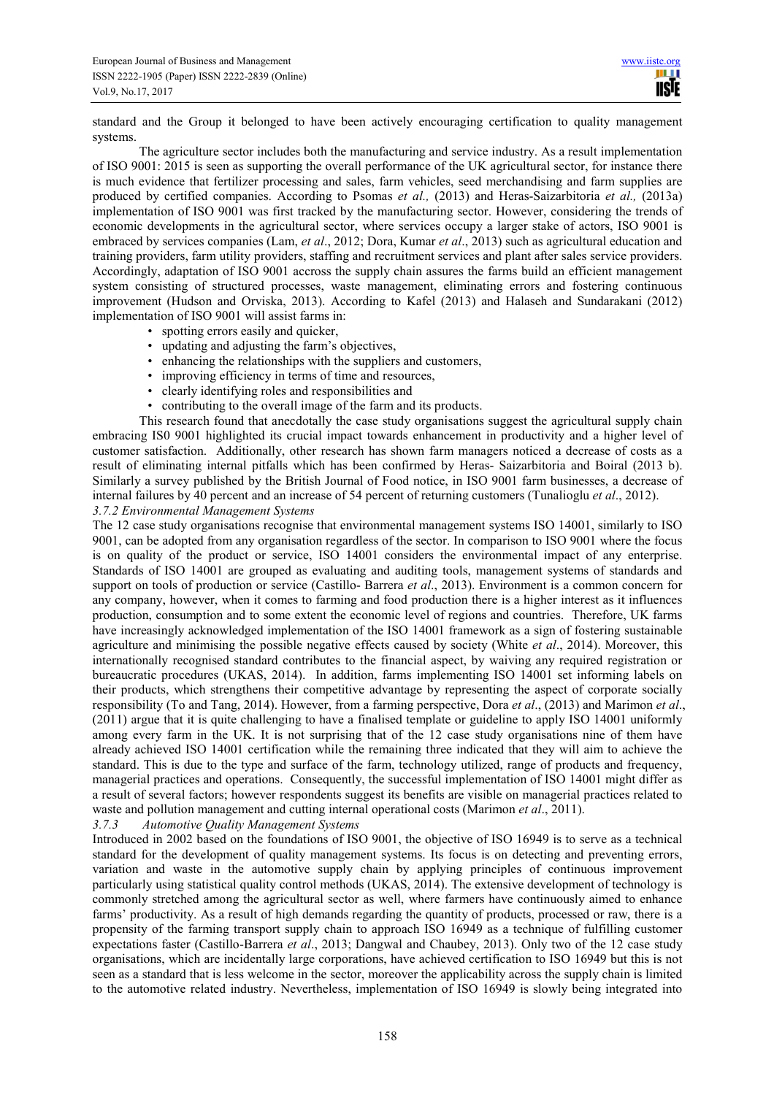standard and the Group it belonged to have been actively encouraging certification to quality management systems.

The agriculture sector includes both the manufacturing and service industry. As a result implementation of ISO 9001: 2015 is seen as supporting the overall performance of the UK agricultural sector, for instance there is much evidence that fertilizer processing and sales, farm vehicles, seed merchandising and farm supplies are produced by certified companies. According to Psomas *et al.,* (2013) and Heras-Saizarbitoria *et al.,* (2013a) implementation of ISO 9001 was first tracked by the manufacturing sector. However, considering the trends of economic developments in the agricultural sector, where services occupy a larger stake of actors, ISO 9001 is embraced by services companies (Lam, *et al*., 2012; Dora, Kumar *et al*., 2013) such as agricultural education and training providers, farm utility providers, staffing and recruitment services and plant after sales service providers. Accordingly, adaptation of ISO 9001 accross the supply chain assures the farms build an efficient management system consisting of structured processes, waste management, eliminating errors and fostering continuous improvement (Hudson and Orviska, 2013). According to Kafel (2013) and Halaseh and Sundarakani (2012) implementation of ISO 9001 will assist farms in:

- spotting errors easily and quicker,
- updating and adjusting the farm's objectives,
- enhancing the relationships with the suppliers and customers,
- improving efficiency in terms of time and resources,
- clearly identifying roles and responsibilities and
- contributing to the overall image of the farm and its products.

This research found that anecdotally the case study organisations suggest the agricultural supply chain embracing IS0 9001 highlighted its crucial impact towards enhancement in productivity and a higher level of customer satisfaction. Additionally, other research has shown farm managers noticed a decrease of costs as a result of eliminating internal pitfalls which has been confirmed by Heras- Saizarbitoria and Boiral (2013 b). Similarly a survey published by the British Journal of Food notice, in ISO 9001 farm businesses, a decrease of internal failures by 40 percent and an increase of 54 percent of returning customers (Tunalioglu *et al*., 2012). *3.7.2 Environmental Management Systems* 

The 12 case study organisations recognise that environmental management systems ISO 14001, similarly to ISO 9001, can be adopted from any organisation regardless of the sector. In comparison to ISO 9001 where the focus is on quality of the product or service, ISO 14001 considers the environmental impact of any enterprise. Standards of ISO 14001 are grouped as evaluating and auditing tools, management systems of standards and support on tools of production or service (Castillo- Barrera *et al*., 2013). Environment is a common concern for any company, however, when it comes to farming and food production there is a higher interest as it influences production, consumption and to some extent the economic level of regions and countries. Therefore, UK farms have increasingly acknowledged implementation of the ISO 14001 framework as a sign of fostering sustainable agriculture and minimising the possible negative effects caused by society (White *et al*., 2014). Moreover, this internationally recognised standard contributes to the financial aspect, by waiving any required registration or bureaucratic procedures (UKAS, 2014). In addition, farms implementing ISO 14001 set informing labels on their products, which strengthens their competitive advantage by representing the aspect of corporate socially responsibility (To and Tang, 2014). However, from a farming perspective, Dora *et al*., (2013) and Marimon *et al*., (2011) argue that it is quite challenging to have a finalised template or guideline to apply ISO 14001 uniformly among every farm in the UK. It is not surprising that of the 12 case study organisations nine of them have already achieved ISO 14001 certification while the remaining three indicated that they will aim to achieve the standard. This is due to the type and surface of the farm, technology utilized, range of products and frequency, managerial practices and operations. Consequently, the successful implementation of ISO 14001 might differ as a result of several factors; however respondents suggest its benefits are visible on managerial practices related to waste and pollution management and cutting internal operational costs (Marimon *et al*., 2011).

#### *3.7.3 Automotive Quality Management Systems*

Introduced in 2002 based on the foundations of ISO 9001, the objective of ISO 16949 is to serve as a technical standard for the development of quality management systems. Its focus is on detecting and preventing errors, variation and waste in the automotive supply chain by applying principles of continuous improvement particularly using statistical quality control methods (UKAS, 2014). The extensive development of technology is commonly stretched among the agricultural sector as well, where farmers have continuously aimed to enhance farms' productivity. As a result of high demands regarding the quantity of products, processed or raw, there is a propensity of the farming transport supply chain to approach ISO 16949 as a technique of fulfilling customer expectations faster (Castillo-Barrera *et al*., 2013; Dangwal and Chaubey, 2013). Only two of the 12 case study organisations, which are incidentally large corporations, have achieved certification to ISO 16949 but this is not seen as a standard that is less welcome in the sector, moreover the applicability across the supply chain is limited to the automotive related industry. Nevertheless, implementation of ISO 16949 is slowly being integrated into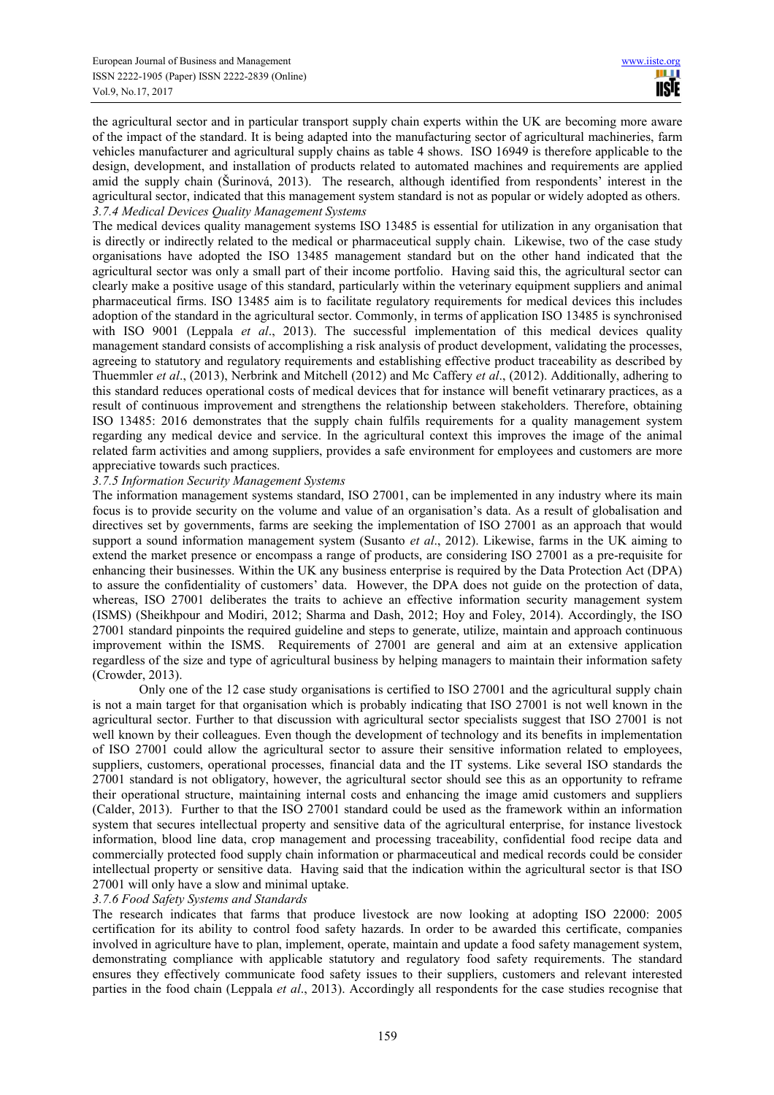the agricultural sector and in particular transport supply chain experts within the UK are becoming more aware of the impact of the standard. It is being adapted into the manufacturing sector of agricultural machineries, farm vehicles manufacturer and agricultural supply chains as table 4 shows. ISO 16949 is therefore applicable to the design, development, and installation of products related to automated machines and requirements are applied amid the supply chain (Šurinová, 2013). The research, although identified from respondents' interest in the agricultural sector, indicated that this management system standard is not as popular or widely adopted as others. *3.7.4 Medical Devices Quality Management Systems* 

The medical devices quality management systems ISO 13485 is essential for utilization in any organisation that is directly or indirectly related to the medical or pharmaceutical supply chain. Likewise, two of the case study organisations have adopted the ISO 13485 management standard but on the other hand indicated that the agricultural sector was only a small part of their income portfolio. Having said this, the agricultural sector can clearly make a positive usage of this standard, particularly within the veterinary equipment suppliers and animal pharmaceutical firms. ISO 13485 aim is to facilitate regulatory requirements for medical devices this includes adoption of the standard in the agricultural sector. Commonly, in terms of application ISO 13485 is synchronised with ISO 9001 (Leppala *et al.*, 2013). The successful implementation of this medical devices quality management standard consists of accomplishing a risk analysis of product development, validating the processes, agreeing to statutory and regulatory requirements and establishing effective product traceability as described by Thuemmler *et al*., (2013), Nerbrink and Mitchell (2012) and Mc Caffery *et al*., (2012). Additionally, adhering to this standard reduces operational costs of medical devices that for instance will benefit vetinarary practices, as a result of continuous improvement and strengthens the relationship between stakeholders. Therefore, obtaining ISO 13485: 2016 demonstrates that the supply chain fulfils requirements for a quality management system regarding any medical device and service. In the agricultural context this improves the image of the animal related farm activities and among suppliers, provides a safe environment for employees and customers are more appreciative towards such practices.

## *3.7.5 Information Security Management Systems*

The information management systems standard, ISO 27001, can be implemented in any industry where its main focus is to provide security on the volume and value of an organisation's data. As a result of globalisation and directives set by governments, farms are seeking the implementation of ISO 27001 as an approach that would support a sound information management system (Susanto *et al*., 2012). Likewise, farms in the UK aiming to extend the market presence or encompass a range of products, are considering ISO 27001 as a pre-requisite for enhancing their businesses. Within the UK any business enterprise is required by the Data Protection Act (DPA) to assure the confidentiality of customers' data. However, the DPA does not guide on the protection of data, whereas, ISO 27001 deliberates the traits to achieve an effective information security management system (ISMS) (Sheikhpour and Modiri, 2012; Sharma and Dash, 2012; Hoy and Foley, 2014). Accordingly, the ISO 27001 standard pinpoints the required guideline and steps to generate, utilize, maintain and approach continuous improvement within the ISMS. Requirements of 27001 are general and aim at an extensive application regardless of the size and type of agricultural business by helping managers to maintain their information safety (Crowder, 2013).

Only one of the 12 case study organisations is certified to ISO 27001 and the agricultural supply chain is not a main target for that organisation which is probably indicating that ISO 27001 is not well known in the agricultural sector. Further to that discussion with agricultural sector specialists suggest that ISO 27001 is not well known by their colleagues. Even though the development of technology and its benefits in implementation of ISO 27001 could allow the agricultural sector to assure their sensitive information related to employees, suppliers, customers, operational processes, financial data and the IT systems. Like several ISO standards the 27001 standard is not obligatory, however, the agricultural sector should see this as an opportunity to reframe their operational structure, maintaining internal costs and enhancing the image amid customers and suppliers (Calder, 2013). Further to that the ISO 27001 standard could be used as the framework within an information system that secures intellectual property and sensitive data of the agricultural enterprise, for instance livestock information, blood line data, crop management and processing traceability, confidential food recipe data and commercially protected food supply chain information or pharmaceutical and medical records could be consider intellectual property or sensitive data. Having said that the indication within the agricultural sector is that ISO 27001 will only have a slow and minimal uptake.

# *3.7.6 Food Safety Systems and Standards*

The research indicates that farms that produce livestock are now looking at adopting ISO 22000: 2005 certification for its ability to control food safety hazards. In order to be awarded this certificate, companies involved in agriculture have to plan, implement, operate, maintain and update a food safety management system, demonstrating compliance with applicable statutory and regulatory food safety requirements. The standard ensures they effectively communicate food safety issues to their suppliers, customers and relevant interested parties in the food chain (Leppala *et al*., 2013). Accordingly all respondents for the case studies recognise that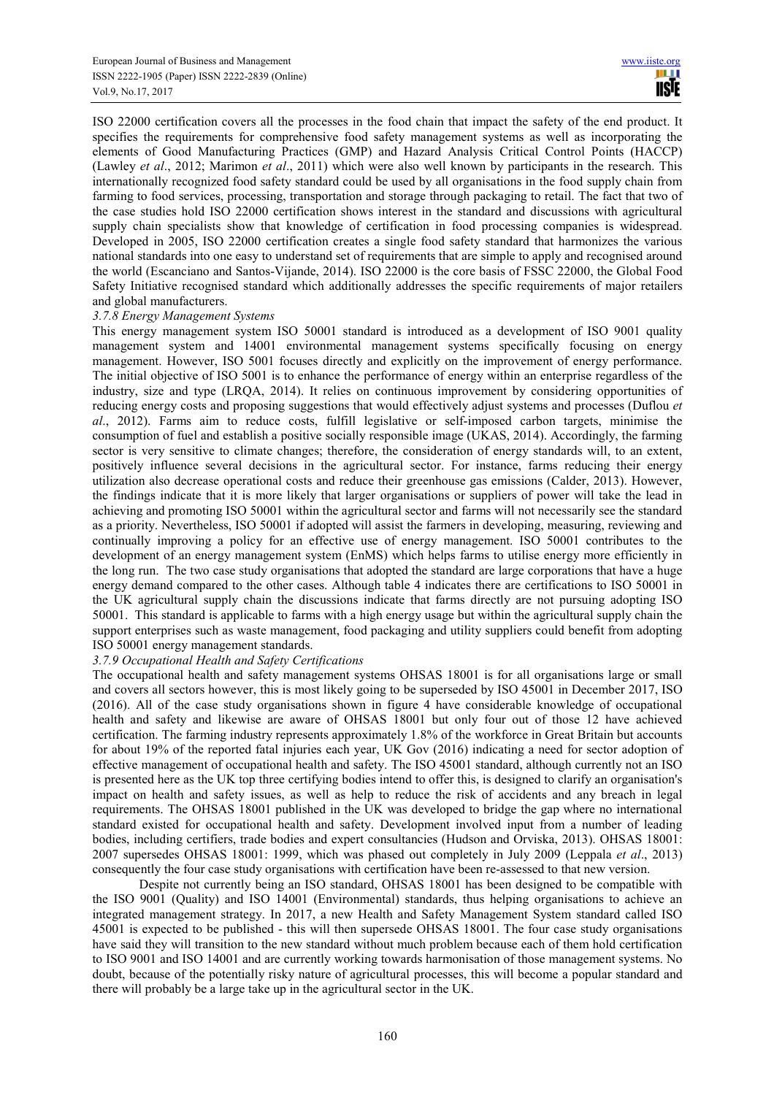ISO 22000 certification covers all the processes in the food chain that impact the safety of the end product. It specifies the requirements for comprehensive food safety management systems as well as incorporating the elements of Good Manufacturing Practices (GMP) and Hazard Analysis Critical Control Points (HACCP) (Lawley *et al*., 2012; Marimon *et al*., 2011) which were also well known by participants in the research. This internationally recognized food safety standard could be used by all organisations in the food supply chain from farming to food services, processing, transportation and storage through packaging to retail. The fact that two of the case studies hold ISO 22000 certification shows interest in the standard and discussions with agricultural supply chain specialists show that knowledge of certification in food processing companies is widespread. Developed in 2005, ISO 22000 certification creates a single food safety standard that harmonizes the various national standards into one easy to understand set of requirements that are simple to apply and recognised around the world (Escanciano and Santos-Vijande, 2014). ISO 22000 is the core basis of FSSC 22000, the Global Food Safety Initiative recognised standard which additionally addresses the specific requirements of major retailers and global manufacturers.

#### *3.7.8 Energy Management Systems*

This energy management system ISO 50001 standard is introduced as a development of ISO 9001 quality management system and 14001 environmental management systems specifically focusing on energy management. However, ISO 5001 focuses directly and explicitly on the improvement of energy performance. The initial objective of ISO 5001 is to enhance the performance of energy within an enterprise regardless of the industry, size and type (LRQA, 2014). It relies on continuous improvement by considering opportunities of reducing energy costs and proposing suggestions that would effectively adjust systems and processes (Duflou *et al*., 2012). Farms aim to reduce costs, fulfill legislative or self-imposed carbon targets, minimise the consumption of fuel and establish a positive socially responsible image (UKAS, 2014). Accordingly, the farming sector is very sensitive to climate changes; therefore, the consideration of energy standards will, to an extent, positively influence several decisions in the agricultural sector. For instance, farms reducing their energy utilization also decrease operational costs and reduce their greenhouse gas emissions (Calder, 2013). However, the findings indicate that it is more likely that larger organisations or suppliers of power will take the lead in achieving and promoting ISO 50001 within the agricultural sector and farms will not necessarily see the standard as a priority. Nevertheless, ISO 50001 if adopted will assist the farmers in developing, measuring, reviewing and continually improving a policy for an effective use of energy management. ISO 50001 contributes to the development of an energy management system (EnMS) which helps farms to utilise energy more efficiently in the long run. The two case study organisations that adopted the standard are large corporations that have a huge energy demand compared to the other cases. Although table 4 indicates there are certifications to ISO 50001 in the UK agricultural supply chain the discussions indicate that farms directly are not pursuing adopting ISO 50001. This standard is applicable to farms with a high energy usage but within the agricultural supply chain the support enterprises such as waste management, food packaging and utility suppliers could benefit from adopting ISO 50001 energy management standards.

# *3.7.9 Occupational Health and Safety Certifications*

The occupational health and safety management systems OHSAS 18001 is for all organisations large or small and covers all sectors however, this is most likely going to be superseded by ISO 45001 in December 2017, ISO (2016). All of the case study organisations shown in figure 4 have considerable knowledge of occupational health and safety and likewise are aware of OHSAS 18001 but only four out of those 12 have achieved certification. The farming industry represents approximately 1.8% of the workforce in Great Britain but accounts for about 19% of the reported fatal injuries each year, UK Gov (2016) indicating a need for sector adoption of effective management of occupational health and safety. The ISO 45001 standard, although currently not an ISO is presented here as the UK top three certifying bodies intend to offer this, is designed to clarify an organisation's impact on health and safety issues, as well as help to reduce the risk of accidents and any breach in legal requirements. The OHSAS 18001 published in the UK was developed to bridge the gap where no international standard existed for occupational health and safety. Development involved input from a number of leading bodies, including certifiers, trade bodies and expert consultancies (Hudson and Orviska, 2013). OHSAS 18001: 2007 supersedes OHSAS 18001: 1999, which was phased out completely in July 2009 (Leppala *et al*., 2013) consequently the four case study organisations with certification have been re-assessed to that new version.

Despite not currently being an ISO standard, OHSAS 18001 has been designed to be compatible with the ISO 9001 (Quality) and ISO 14001 (Environmental) standards, thus helping organisations to achieve an integrated management strategy. In 2017, a new Health and Safety Management System standard called ISO 45001 is expected to be published - this will then supersede OHSAS 18001. The four case study organisations have said they will transition to the new standard without much problem because each of them hold certification to ISO 9001 and ISO 14001 and are currently working towards harmonisation of those management systems. No doubt, because of the potentially risky nature of agricultural processes, this will become a popular standard and there will probably be a large take up in the agricultural sector in the UK.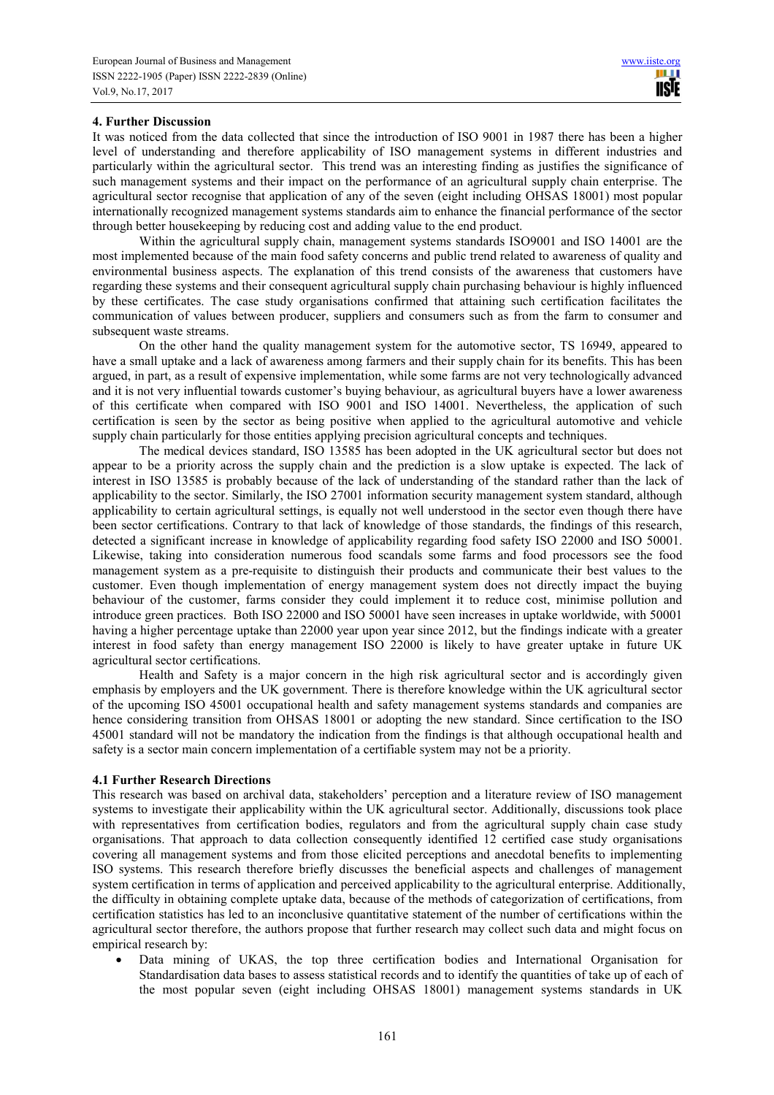# **4. Further Discussion**

It was noticed from the data collected that since the introduction of ISO 9001 in 1987 there has been a higher level of understanding and therefore applicability of ISO management systems in different industries and particularly within the agricultural sector. This trend was an interesting finding as justifies the significance of such management systems and their impact on the performance of an agricultural supply chain enterprise. The agricultural sector recognise that application of any of the seven (eight including OHSAS 18001) most popular internationally recognized management systems standards aim to enhance the financial performance of the sector through better housekeeping by reducing cost and adding value to the end product.

Within the agricultural supply chain, management systems standards ISO9001 and ISO 14001 are the most implemented because of the main food safety concerns and public trend related to awareness of quality and environmental business aspects. The explanation of this trend consists of the awareness that customers have regarding these systems and their consequent agricultural supply chain purchasing behaviour is highly influenced by these certificates. The case study organisations confirmed that attaining such certification facilitates the communication of values between producer, suppliers and consumers such as from the farm to consumer and subsequent waste streams.

On the other hand the quality management system for the automotive sector, TS 16949, appeared to have a small uptake and a lack of awareness among farmers and their supply chain for its benefits. This has been argued, in part, as a result of expensive implementation, while some farms are not very technologically advanced and it is not very influential towards customer's buying behaviour, as agricultural buyers have a lower awareness of this certificate when compared with ISO 9001 and ISO 14001. Nevertheless, the application of such certification is seen by the sector as being positive when applied to the agricultural automotive and vehicle supply chain particularly for those entities applying precision agricultural concepts and techniques.

The medical devices standard, ISO 13585 has been adopted in the UK agricultural sector but does not appear to be a priority across the supply chain and the prediction is a slow uptake is expected. The lack of interest in ISO 13585 is probably because of the lack of understanding of the standard rather than the lack of applicability to the sector. Similarly, the ISO 27001 information security management system standard, although applicability to certain agricultural settings, is equally not well understood in the sector even though there have been sector certifications. Contrary to that lack of knowledge of those standards, the findings of this research, detected a significant increase in knowledge of applicability regarding food safety ISO 22000 and ISO 50001. Likewise, taking into consideration numerous food scandals some farms and food processors see the food management system as a pre-requisite to distinguish their products and communicate their best values to the customer. Even though implementation of energy management system does not directly impact the buying behaviour of the customer, farms consider they could implement it to reduce cost, minimise pollution and introduce green practices. Both ISO 22000 and ISO 50001 have seen increases in uptake worldwide, with 50001 having a higher percentage uptake than 22000 year upon year since 2012, but the findings indicate with a greater interest in food safety than energy management ISO 22000 is likely to have greater uptake in future UK agricultural sector certifications.

Health and Safety is a major concern in the high risk agricultural sector and is accordingly given emphasis by employers and the UK government. There is therefore knowledge within the UK agricultural sector of the upcoming ISO 45001 occupational health and safety management systems standards and companies are hence considering transition from OHSAS 18001 or adopting the new standard. Since certification to the ISO 45001 standard will not be mandatory the indication from the findings is that although occupational health and safety is a sector main concern implementation of a certifiable system may not be a priority.

#### **4.1 Further Research Directions**

This research was based on archival data, stakeholders' perception and a literature review of ISO management systems to investigate their applicability within the UK agricultural sector. Additionally, discussions took place with representatives from certification bodies, regulators and from the agricultural supply chain case study organisations. That approach to data collection consequently identified 12 certified case study organisations covering all management systems and from those elicited perceptions and anecdotal benefits to implementing ISO systems. This research therefore briefly discusses the beneficial aspects and challenges of management system certification in terms of application and perceived applicability to the agricultural enterprise. Additionally, the difficulty in obtaining complete uptake data, because of the methods of categorization of certifications, from certification statistics has led to an inconclusive quantitative statement of the number of certifications within the agricultural sector therefore, the authors propose that further research may collect such data and might focus on empirical research by:

• Data mining of UKAS, the top three certification bodies and International Organisation for Standardisation data bases to assess statistical records and to identify the quantities of take up of each of the most popular seven (eight including OHSAS 18001) management systems standards in UK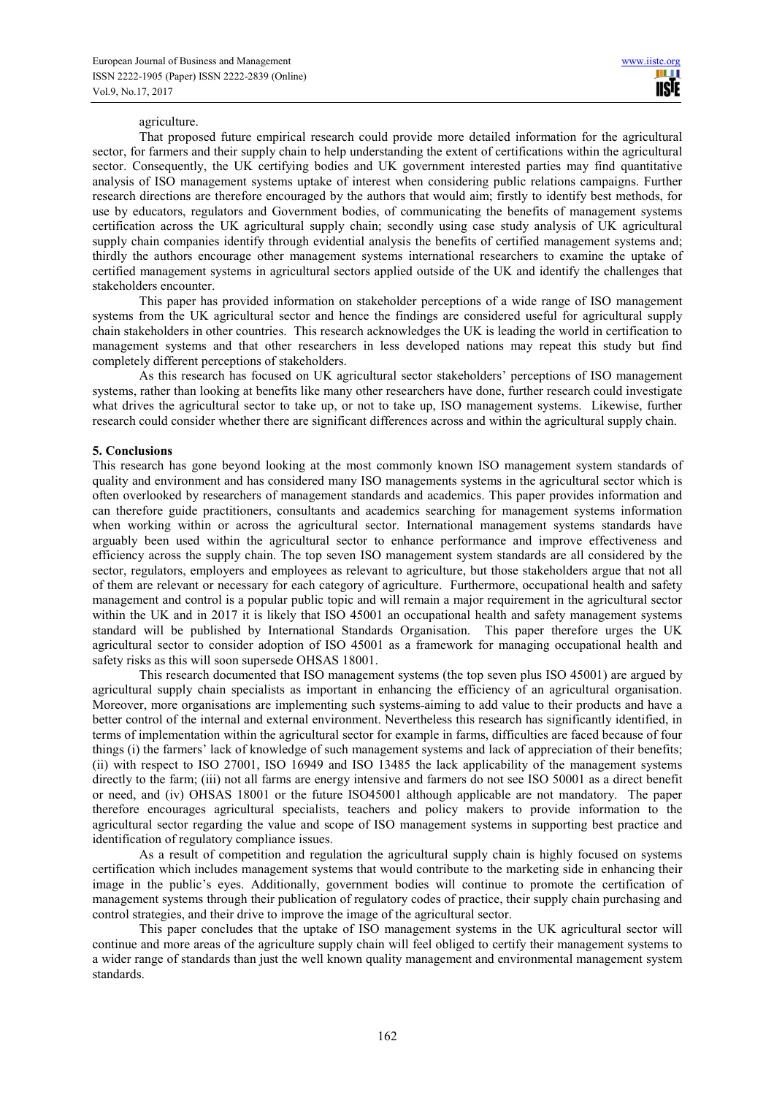### agriculture.

That proposed future empirical research could provide more detailed information for the agricultural sector, for farmers and their supply chain to help understanding the extent of certifications within the agricultural sector. Consequently, the UK certifying bodies and UK government interested parties may find quantitative analysis of ISO management systems uptake of interest when considering public relations campaigns. Further research directions are therefore encouraged by the authors that would aim; firstly to identify best methods, for use by educators, regulators and Government bodies, of communicating the benefits of management systems certification across the UK agricultural supply chain; secondly using case study analysis of UK agricultural supply chain companies identify through evidential analysis the benefits of certified management systems and; thirdly the authors encourage other management systems international researchers to examine the uptake of certified management systems in agricultural sectors applied outside of the UK and identify the challenges that stakeholders encounter.

This paper has provided information on stakeholder perceptions of a wide range of ISO management systems from the UK agricultural sector and hence the findings are considered useful for agricultural supply chain stakeholders in other countries. This research acknowledges the UK is leading the world in certification to management systems and that other researchers in less developed nations may repeat this study but find completely different perceptions of stakeholders.

As this research has focused on UK agricultural sector stakeholders' perceptions of ISO management systems, rather than looking at benefits like many other researchers have done, further research could investigate what drives the agricultural sector to take up, or not to take up, ISO management systems. Likewise, further research could consider whether there are significant differences across and within the agricultural supply chain.

## **5. Conclusions**

This research has gone beyond looking at the most commonly known ISO management system standards of quality and environment and has considered many ISO managements systems in the agricultural sector which is often overlooked by researchers of management standards and academics. This paper provides information and can therefore guide practitioners, consultants and academics searching for management systems information when working within or across the agricultural sector. International management systems standards have arguably been used within the agricultural sector to enhance performance and improve effectiveness and efficiency across the supply chain. The top seven ISO management system standards are all considered by the sector, regulators, employers and employees as relevant to agriculture, but those stakeholders argue that not all of them are relevant or necessary for each category of agriculture. Furthermore, occupational health and safety management and control is a popular public topic and will remain a major requirement in the agricultural sector within the UK and in 2017 it is likely that ISO 45001 an occupational health and safety management systems standard will be published by International Standards Organisation. This paper therefore urges the UK agricultural sector to consider adoption of ISO 45001 as a framework for managing occupational health and safety risks as this will soon supersede OHSAS 18001.

This research documented that ISO management systems (the top seven plus ISO 45001) are argued by agricultural supply chain specialists as important in enhancing the efficiency of an agricultural organisation. Moreover, more organisations are implementing such systems aiming to add value to their products and have a better control of the internal and external environment. Nevertheless this research has significantly identified, in terms of implementation within the agricultural sector for example in farms, difficulties are faced because of four things (i) the farmers' lack of knowledge of such management systems and lack of appreciation of their benefits; (ii) with respect to ISO 27001, ISO 16949 and ISO 13485 the lack applicability of the management systems directly to the farm; (iii) not all farms are energy intensive and farmers do not see ISO 50001 as a direct benefit or need, and (iv) OHSAS 18001 or the future ISO45001 although applicable are not mandatory. The paper therefore encourages agricultural specialists, teachers and policy makers to provide information to the agricultural sector regarding the value and scope of ISO management systems in supporting best practice and identification of regulatory compliance issues.

As a result of competition and regulation the agricultural supply chain is highly focused on systems certification which includes management systems that would contribute to the marketing side in enhancing their image in the public's eyes. Additionally, government bodies will continue to promote the certification of management systems through their publication of regulatory codes of practice, their supply chain purchasing and control strategies, and their drive to improve the image of the agricultural sector.

This paper concludes that the uptake of ISO management systems in the UK agricultural sector will continue and more areas of the agriculture supply chain will feel obliged to certify their management systems to a wider range of standards than just the well known quality management and environmental management system standards.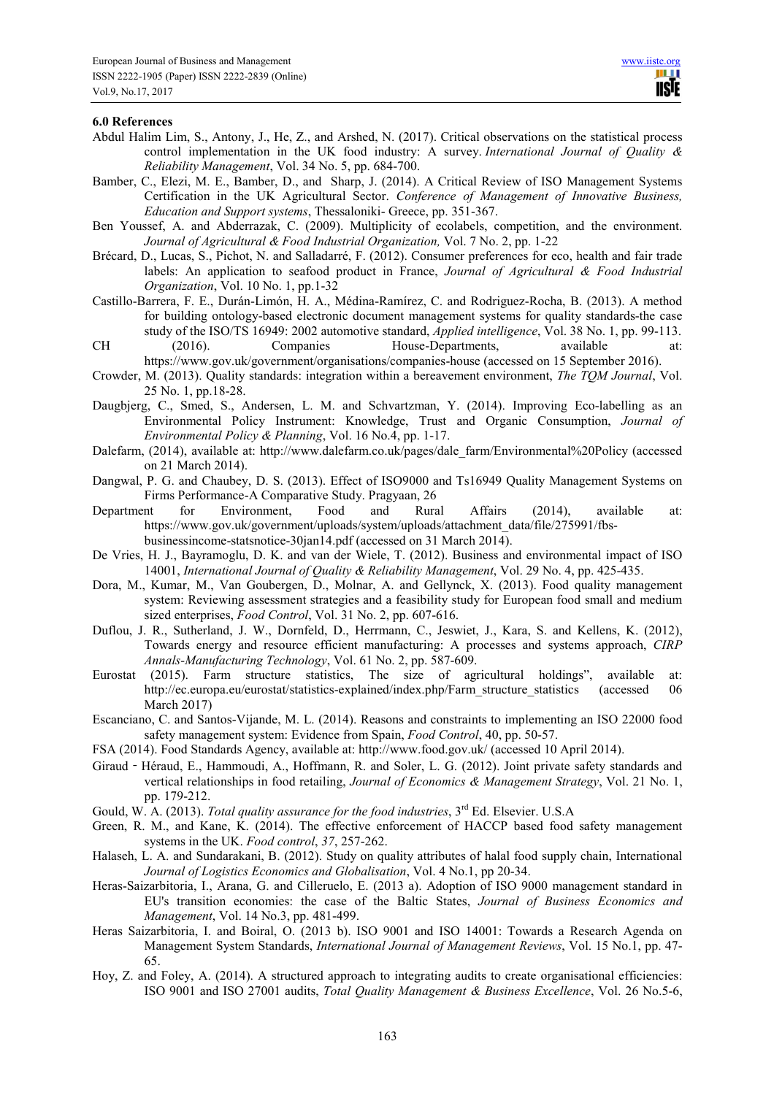#### **6.0 References**

- Abdul Halim Lim, S., Antony, J., He, Z., and Arshed, N. (2017). Critical observations on the statistical process control implementation in the UK food industry: A survey. *International Journal of Quality & Reliability Management*, Vol. 34 No. 5, pp. 684-700.
- Bamber, C., Elezi, M. E., Bamber, D., and Sharp, J. (2014). A Critical Review of ISO Management Systems Certification in the UK Agricultural Sector. *Conference of Management of Innovative Business, Education and Support systems*, Thessaloniki- Greece, pp. 351-367.
- Ben Youssef, A. and Abderrazak, C. (2009). Multiplicity of ecolabels, competition, and the environment. *Journal of Agricultural & Food Industrial Organization,* Vol. 7 No. 2, pp. 1-22
- Brécard, D., Lucas, S., Pichot, N. and Salladarré, F. (2012). Consumer preferences for eco, health and fair trade labels: An application to seafood product in France, *Journal of Agricultural & Food Industrial Organization*, Vol. 10 No. 1, pp.1-32
- Castillo-Barrera, F. E., Durán-Limón, H. A., Médina-Ramírez, C. and Rodriguez-Rocha, B. (2013). A method for building ontology-based electronic document management systems for quality standards-the case study of the ISO/TS 16949: 2002 automotive standard, *Applied intelligence*, Vol. 38 No. 1, pp. 99-113. CH (2016). Companies House-Departments, available at:
- https://www.gov.uk/government/organisations/companies-house (accessed on 15 September 2016).
- Crowder, M. (2013). Quality standards: integration within a bereavement environment, *The TQM Journal*, Vol. 25 No. 1, pp.18-28.
- Daugbjerg, C., Smed, S., Andersen, L. M. and Schvartzman, Y. (2014). Improving Eco-labelling as an Environmental Policy Instrument: Knowledge, Trust and Organic Consumption, *Journal of Environmental Policy & Planning*, Vol. 16 No.4, pp. 1-17.
- Dalefarm, (2014), available at: http://www.dalefarm.co.uk/pages/dale\_farm/Environmental%20Policy (accessed on 21 March 2014).
- Dangwal, P. G. and Chaubey, D. S. (2013). Effect of ISO9000 and Ts16949 Quality Management Systems on Firms Performance-A Comparative Study. Pragyaan, 26
- Department for Environment, Food and Rural Affairs (2014), available at: https://www.gov.uk/government/uploads/system/uploads/attachment\_data/file/275991/fbsbusinessincome-statsnotice-30jan14.pdf (accessed on 31 March 2014).
- De Vries, H. J., Bayramoglu, D. K. and van der Wiele, T. (2012). Business and environmental impact of ISO 14001, *International Journal of Quality & Reliability Management*, Vol. 29 No. 4, pp. 425-435.
- Dora, M., Kumar, M., Van Goubergen, D., Molnar, A. and Gellynck, X. (2013). Food quality management system: Reviewing assessment strategies and a feasibility study for European food small and medium sized enterprises, *Food Control*, Vol. 31 No. 2, pp. 607-616.
- Duflou, J. R., Sutherland, J. W., Dornfeld, D., Herrmann, C., Jeswiet, J., Kara, S. and Kellens, K. (2012), Towards energy and resource efficient manufacturing: A processes and systems approach, *CIRP Annals-Manufacturing Technology*, Vol. 61 No. 2, pp. 587-609.
- Eurostat (2015). Farm structure statistics, The size of agricultural holdings", available at: http://ec.europa.eu/eurostat/statistics-explained/index.php/Farm\_structure\_statistics (accessed 06 March 2017)
- Escanciano, C. and Santos-Vijande, M. L. (2014). Reasons and constraints to implementing an ISO 22000 food safety management system: Evidence from Spain, *Food Control*, 40, pp. 50-57.
- FSA (2014). Food Standards Agency, available at: http://www.food.gov.uk/ (accessed 10 April 2014).
- Giraud‐Héraud, E., Hammoudi, A., Hoffmann, R. and Soler, L. G. (2012). Joint private safety standards and vertical relationships in food retailing, *Journal of Economics & Management Strategy*, Vol. 21 No. 1, pp. 179-212.
- Gould, W. A. (2013). *Total quality assurance for the food industries*, 3<sup>rd</sup> Ed. Elsevier. U.S.A
- Green, R. M., and Kane, K. (2014). The effective enforcement of HACCP based food safety management systems in the UK. *Food control*, *37*, 257-262.
- Halaseh, L. A. and Sundarakani, B. (2012). Study on quality attributes of halal food supply chain, International *Journal of Logistics Economics and Globalisation*, Vol. 4 No.1, pp 20-34.
- Heras-Saizarbitoria, I., Arana, G. and Cilleruelo, E. (2013 a). Adoption of ISO 9000 management standard in EU's transition economies: the case of the Baltic States, *Journal of Business Economics and Management*, Vol. 14 No.3, pp. 481-499.
- Heras Saizarbitoria, I. and Boiral, O. (2013 b). ISO 9001 and ISO 14001: Towards a Research Agenda on Management System Standards, *International Journal of Management Reviews*, Vol. 15 No.1, pp. 47- 65.
- Hoy, Z. and Foley, A. (2014). A structured approach to integrating audits to create organisational efficiencies: ISO 9001 and ISO 27001 audits, *Total Quality Management & Business Excellence*, Vol. 26 No.5-6,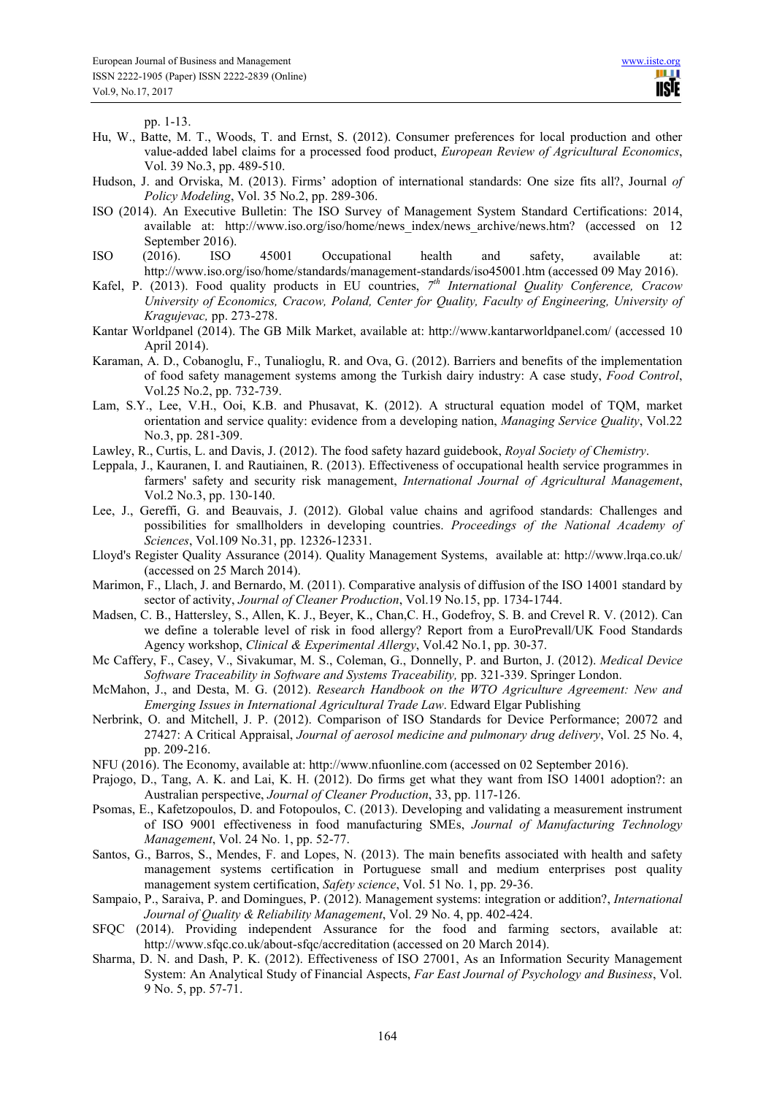pp. 1-13.

- Hu, W., Batte, M. T., Woods, T. and Ernst, S. (2012). Consumer preferences for local production and other value-added label claims for a processed food product, *European Review of Agricultural Economics*, Vol. 39 No.3, pp. 489-510.
- Hudson, J. and Orviska, M. (2013). Firms' adoption of international standards: One size fits all?, Journal *of Policy Modeling*, Vol. 35 No.2, pp. 289-306.
- ISO (2014). An Executive Bulletin: The ISO Survey of Management System Standard Certifications: 2014, available at: http://www.iso.org/iso/home/news\_index/news\_archive/news.htm? (accessed on 12 September 2016).
- ISO (2016). ISO 45001 Occupational health and safety, available at: http://www.iso.org/iso/home/standards/management-standards/iso45001.htm (accessed 09 May 2016).
- Kafel, P. (2013). Food quality products in EU countries, 7<sup>th</sup> International Quality Conference, Cracow *University of Economics, Cracow, Poland, Center for Quality, Faculty of Engineering, University of Kragujevac,* pp. 273-278.
- Kantar Worldpanel (2014). The GB Milk Market, available at: http://www.kantarworldpanel.com/ (accessed 10 April 2014).
- Karaman, A. D., Cobanoglu, F., Tunalioglu, R. and Ova, G. (2012). Barriers and benefits of the implementation of food safety management systems among the Turkish dairy industry: A case study, *Food Control*, Vol.25 No.2, pp. 732-739.
- Lam, S.Y., Lee, V.H., Ooi, K.B. and Phusavat, K. (2012). A structural equation model of TQM, market orientation and service quality: evidence from a developing nation, *Managing Service Quality*, Vol.22 No.3, pp. 281-309.
- Lawley, R., Curtis, L. and Davis, J. (2012). The food safety hazard guidebook, *Royal Society of Chemistry*.
- Leppala, J., Kauranen, I. and Rautiainen, R. (2013). Effectiveness of occupational health service programmes in farmers' safety and security risk management, *International Journal of Agricultural Management*, Vol.2 No.3, pp. 130-140.
- Lee, J., Gereffi, G. and Beauvais, J. (2012). Global value chains and agrifood standards: Challenges and possibilities for smallholders in developing countries. *Proceedings of the National Academy of Sciences*, Vol.109 No.31, pp. 12326-12331.
- Lloyd's Register Quality Assurance (2014). Quality Management Systems, available at: http://www.lrqa.co.uk/ (accessed on 25 March 2014).
- Marimon, F., Llach, J. and Bernardo, M. (2011). Comparative analysis of diffusion of the ISO 14001 standard by sector of activity, *Journal of Cleaner Production*, Vol.19 No.15, pp. 1734-1744.
- Madsen, C. B., Hattersley, S., Allen, K. J., Beyer, K., Chan,C. H., Godefroy, S. B. and Crevel R. V. (2012). Can we define a tolerable level of risk in food allergy? Report from a EuroPrevall/UK Food Standards Agency workshop, *Clinical & Experimental Allergy*, Vol.42 No.1, pp. 30-37.
- Mc Caffery, F., Casey, V., Sivakumar, M. S., Coleman, G., Donnelly, P. and Burton, J. (2012). *Medical Device Software Traceability in Software and Systems Traceability,* pp. 321-339. Springer London.
- McMahon, J., and Desta, M. G. (2012). *Research Handbook on the WTO Agriculture Agreement: New and Emerging Issues in International Agricultural Trade Law*. Edward Elgar Publishing
- Nerbrink, O. and Mitchell, J. P. (2012). Comparison of ISO Standards for Device Performance; 20072 and 27427: A Critical Appraisal, *Journal of aerosol medicine and pulmonary drug delivery*, Vol. 25 No. 4, pp. 209-216.
- NFU (2016). The Economy, available at: http://www.nfuonline.com (accessed on 02 September 2016).
- Prajogo, D., Tang, A. K. and Lai, K. H. (2012). Do firms get what they want from ISO 14001 adoption?: an Australian perspective, *Journal of Cleaner Production*, 33, pp. 117-126.
- Psomas, E., Kafetzopoulos, D. and Fotopoulos, C. (2013). Developing and validating a measurement instrument of ISO 9001 effectiveness in food manufacturing SMEs, *Journal of Manufacturing Technology Management*, Vol. 24 No. 1, pp. 52-77.
- Santos, G., Barros, S., Mendes, F. and Lopes, N. (2013). The main benefits associated with health and safety management systems certification in Portuguese small and medium enterprises post quality management system certification, *Safety science*, Vol. 51 No. 1, pp. 29-36.
- Sampaio, P., Saraiva, P. and Domingues, P. (2012). Management systems: integration or addition?, *International Journal of Quality & Reliability Management*, Vol. 29 No. 4, pp. 402-424.
- SFQC (2014). Providing independent Assurance for the food and farming sectors, available at: http://www.sfqc.co.uk/about-sfqc/accreditation (accessed on 20 March 2014).
- Sharma, D. N. and Dash, P. K. (2012). Effectiveness of ISO 27001, As an Information Security Management System: An Analytical Study of Financial Aspects, *Far East Journal of Psychology and Business*, Vol. 9 No. 5, pp. 57-71.